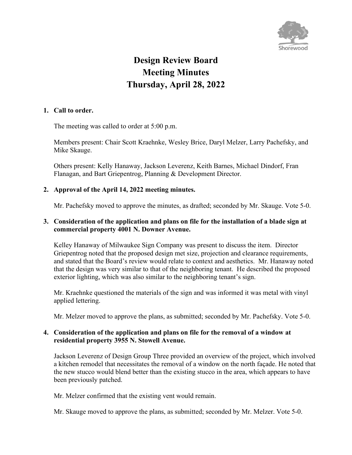

# **Design Review Board Meeting Minutes Thursday, April 28, 2022**

## **1. Call to order.**

The meeting was called to order at 5:00 p.m.

Members present: Chair Scott Kraehnke, Wesley Brice, Daryl Melzer, Larry Pachefsky, and Mike Skauge.

Others present: Kelly Hanaway, Jackson Leverenz, Keith Barnes, Michael Dindorf, Fran Flanagan, and Bart Griepentrog, Planning & Development Director.

#### **2. Approval of the April 14, 2022 meeting minutes.**

Mr. Pachefsky moved to approve the minutes, as drafted; seconded by Mr. Skauge. Vote 5-0.

### **3. Consideration of the application and plans on file for the installation of a blade sign at commercial property 4001 N. Downer Avenue.**

Kelley Hanaway of Milwaukee Sign Company was present to discuss the item. Director Griepentrog noted that the proposed design met size, projection and clearance requirements, and stated that the Board's review would relate to context and aesthetics. Mr. Hanaway noted that the design was very similar to that of the neighboring tenant. He described the proposed exterior lighting, which was also similar to the neighboring tenant's sign.

Mr. Kraehnke questioned the materials of the sign and was informed it was metal with vinyl applied lettering.

Mr. Melzer moved to approve the plans, as submitted; seconded by Mr. Pachefsky. Vote 5-0.

#### **4. Consideration of the application and plans on file for the removal of a window at residential property 3955 N. Stowell Avenue.**

Jackson Leverenz of Design Group Three provided an overview of the project, which involved a kitchen remodel that necessitates the removal of a window on the north façade. He noted that the new stucco would blend better than the existing stucco in the area, which appears to have been previously patched.

Mr. Melzer confirmed that the existing vent would remain.

Mr. Skauge moved to approve the plans, as submitted; seconded by Mr. Melzer. Vote 5-0.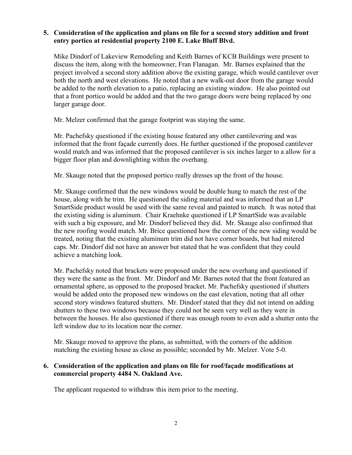## **5. Consideration of the application and plans on file for a second story addition and front entry portico at residential property 2100 E. Lake Bluff Blvd.**

Mike Dindorf of Lakeview Remodeling and Keith Barnes of KCB Buildings were present to discuss the item, along with the homeowner, Fran Flanagan. Mr. Barnes explained that the project involved a second story addition above the existing garage, which would cantilever over both the north and west elevations. He noted that a new walk-out door from the garage would be added to the north elevation to a patio, replacing an existing window. He also pointed out that a front portico would be added and that the two garage doors were being replaced by one larger garage door.

Mr. Melzer confirmed that the garage footprint was staying the same.

Mr. Pachefsky questioned if the existing house featured any other cantilevering and was informed that the front façade currently does. He further questioned if the proposed cantilever would match and was informed that the proposed cantilever is six inches larger to a allow for a bigger floor plan and downlighting within the overhang.

Mr. Skauge noted that the proposed portico really dresses up the front of the house.

Mr. Skauge confirmed that the new windows would be double hung to match the rest of the house, along with he trim. He questioned the siding material and was informed that an LP SmartSide product would be used with the same reveal and painted to match. It was noted that the existing siding is aluminum. Chair Kraehnke questioned if LP SmartSide was available with such a big exposure, and Mr. Dindorf believed they did. Mr. Skauge also confirmed that the new roofing would match. Mr. Brice questioned how the corner of the new siding would be treated, noting that the existing aluminum trim did not have corner boards, but had mitered caps. Mr. Dindorf did not have an answer but stated that he was confident that they could achieve a matching look.

Mr. Pachefsky noted that brackets were proposed under the new overhang and questioned if they were the same as the front. Mr. Dindorf and Mr. Barnes noted that the front featured an ornamental sphere, as opposed to the proposed bracket. Mr. Pachefsky questioned if shutters would be added onto the proposed new windows on the east elevation, noting that all other second story windows featured shutters. Mr. Dindorf stated that they did not intend on adding shutters to these two windows because they could not be seen very well as they were in between the houses. He also questioned if there was enough room to even add a shutter onto the left window due to its location near the corner.

Mr. Skauge moved to approve the plans, as submitted, with the corners of the addition matching the existing house as close as possible; seconded by Mr. Melzer. Vote 5-0.

#### **6. Consideration of the application and plans on file for roof/façade modifications at commercial property 4484 N. Oakland Ave.**

The applicant requested to withdraw this item prior to the meeting.